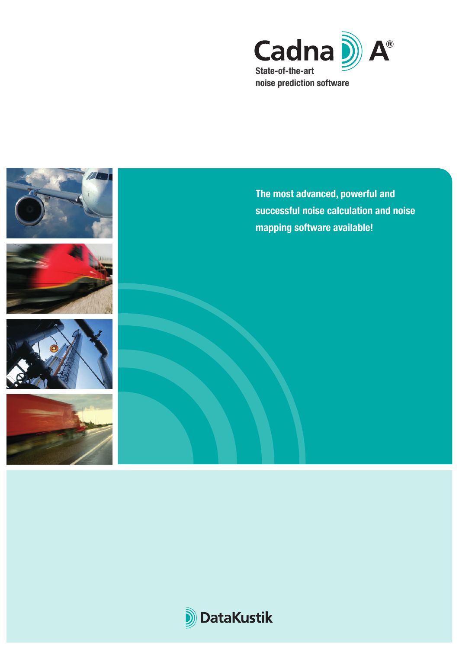



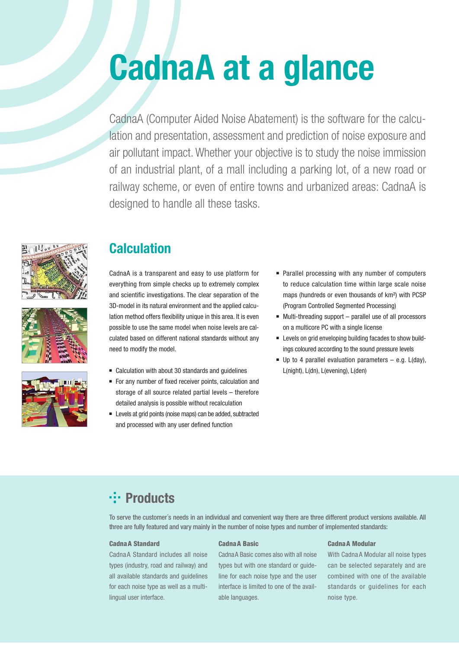# **CadnaA at a glance**

CadnaA (Computer Aided Noise Abatement) is the software for the calculation and presentation, assessment and prediction of noise exposure and air pollutant impact. Whether your objective is to study the noise immission of an industrial plant, of a mall including a parking lot, of a new road or railway scheme, or even of entire towns and urbanized areas: CadnaA is designed to handle all these tasks.







## **Calculation**

CadnaA is a transparent and easy to use platform for everything from simple checks up to extremely complex and scientific investigations. The clear separation of the 3D-model in its natural environment and the applied calculation method offers flexibility unique in this area. It is even possible to use the same model when noise levels are calculated based on different national standards without any need to modify the model.

- Calculation with about 30 standards and guidelines
- For any number of fixed receiver points, calculation and storage of all source related partial levels – therefore detailed analysis is possible without recalculation
- <sup>n</sup> Levels at grid points (noise maps) can be added, subtracted and processed with any user defined function
- Parallel processing with any number of computers to reduce calculation time within large scale noise maps (hundreds or even thousands of km²) with PCSP (Program Controlled Segmented Processing)
- $\blacksquare$  Multi-threading support parallel use of all processors on a multicore PC with a single license
- Levels on grid enveloping building facades to show buildings coloured according to the sound pressure levels
- $\blacksquare$  Up to 4 parallel evaluation parameters e.g. L(day), L(night), L(dn), L(evening), L(den)

## *<u>-</u>***: Products**

To serve the customer´s needs in an individual and convenient way there are three different product versions available. All three are fully featured and vary mainly in the number of noise types and number of implemented standards:

### CadnaA Standard

CadnaA Standard includes all noise types (industry, road and railway) and all available standards and guidelines for each noise type as well as a multilingual user interface.

#### CadnaA Basic

CadnaA Basic comes also with all noise types but with one standard or guideline for each noise type and the user interface is limited to one of the available languages.

## CadnaA Modular

With Cadna A Modular all noise types can be selected separately and are combined with one of the available standards or guidelines for each noise type.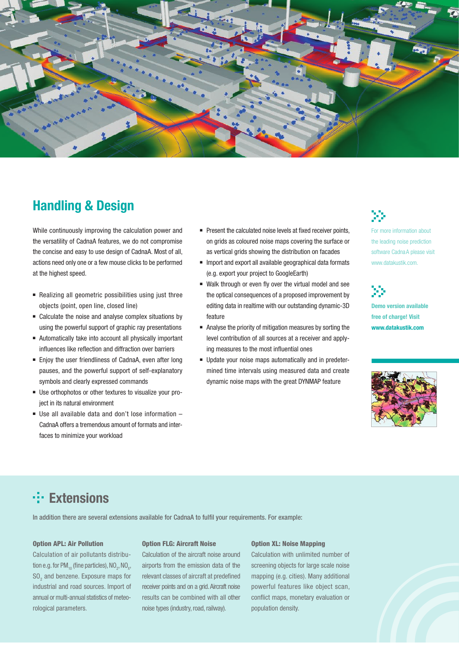

## **Handling & Design**

While continuously improving the calculation power and the versatility of CadnaA features, we do not compromise the concise and easy to use design of CadnaA. Most of all, actions need only one or a few mouse clicks to be performed at the highest speed.

- Realizing all geometric possibilities using just three objects (point, open line, closed line)
- Calculate the noise and analyse complex situations by using the powerful support of graphic ray presentations
- <sup>n</sup> Automatically take into account all physically important influences like reflection and diffraction over barriers
- Enjoy the user friendliness of CadnaA, even after long pauses, and the powerful support of self-explanatory symbols and clearly expressed commands
- Use orthophotos or other textures to visualize your project in its natural environment
- $\blacksquare$  Use all available data and don't lose information  $\blacksquare$ CadnaA offers a tremendous amount of formats and interfaces to minimize your workload
- Present the calculated noise levels at fixed receiver points, on grids as coloured noise maps covering the surface or as vertical grids showing the distribution on facades
- <sup>n</sup> Import and export all available geographical data formats (e.g. export your project to GoogleEarth)
- Walk through or even fly over the virtual model and see the optical consequences of a proposed improvement by editing data in realtime with our outstanding dynamic-3D feature
- <sup>n</sup> Analyse the priority of mitigation measures by sorting the level contribution of all sources at a receiver and applying measures to the most influential ones
- n Update your noise maps automatically and in predetermined time intervals using measured data and create dynamic noise maps with the great DYNMAP feature



For more information about the leading noise prediction software CadnaA please visit www.datakustik.com.

```
Demo version available 
free of charge! Visit 
www.datakustik.com
```


## **Extensions**

In addition there are several extensions available for CadnaA to fulfil your requirements. For example:

## Option APL: Air Pollution

Calculation of air pollutants distribution e.g. for PM $_{10}$  (fine particles), NO<sub>2</sub>, NO<sub>x</sub>,  $\mathrm{SO}_2^{\times}$  and benzene. Exposure maps for industrial and road sources. Import of annual or multi-annual statistics of meteorological parameters.

### Option FLG: Aircraft Noise

Calculation of the aircraft noise around airports from the emission data of the relevant classes of aircraft at predefined receiver points and on a grid. Aircraft noise results can be combined with all other noise types (industry, road, railway).

#### Option XL: Noise Mapping

Calculation with unlimited number of screening objects for large scale noise mapping (e.g. cities). Many additional powerful features like object scan, conflict maps, monetary evaluation or population density.